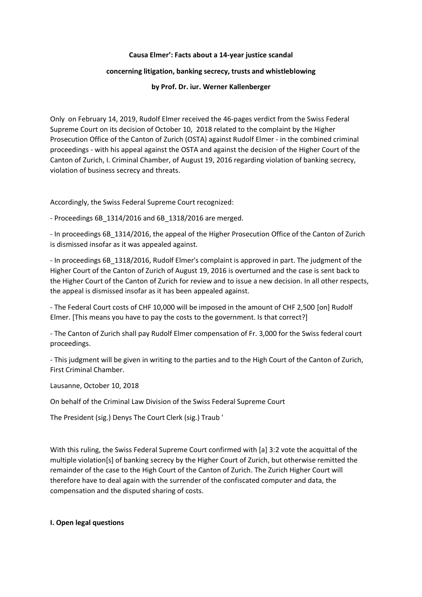#### **Causa Elmer': Facts about a 14-year justice scandal**

### **concerning litigation, banking secrecy, trusts and whistleblowing**

**by Prof. Dr. iur. Werner Kallenberger**

Only on February 14, 2019, Rudolf Elmer received the 46-pages verdict from the Swiss Federal Supreme Court on its decision of October 10, 2018 related to the complaint by the Higher Prosecution Office of the Canton of Zurich (OSTA) against Rudolf Elmer - in the combined criminal proceedings - with his appeal against the OSTA and against the decision of the Higher Court of the Canton of Zurich, I. Criminal Chamber, of August 19, 2016 regarding violation of banking secrecy, violation of business secrecy and threats.

Accordingly, the Swiss Federal Supreme Court recognized:

- Proceedings 6B\_1314/2016 and 6B\_1318/2016 are merged.

- In proceedings 6B\_1314/2016, the appeal of the Higher Prosecution Office of the Canton of Zurich is dismissed insofar as it was appealed against.

- In proceedings 6B\_1318/2016, Rudolf Elmer's complaint is approved in part. The judgment of the Higher Court of the Canton of Zurich of August 19, 2016 is overturned and the case is sent back to the Higher Court of the Canton of Zurich for review and to issue a new decision. In all other respects, the appeal is dismissed insofar as it has been appealed against.

- The Federal Court costs of CHF 10,000 will be imposed in the amount of CHF 2,500 [on] Rudolf Elmer. [This means you have to pay the costs to the government. Is that correct?]

- The Canton of Zurich shall pay Rudolf Elmer compensation of Fr. 3,000 for the Swiss federal court proceedings.

- This judgment will be given in writing to the parties and to the High Court of the Canton of Zurich, First Criminal Chamber.

Lausanne, October 10, 2018

On behalf of the Criminal Law Division of the Swiss Federal Supreme Court

The President (sig.) Denys The Court Clerk (sig.) Traub '

With this ruling, the Swiss Federal Supreme Court confirmed with [a] 3:2 vote the acquittal of the multiple violation[s] of banking secrecy by the Higher Court of Zurich, but otherwise remitted the remainder of the case to the High Court of the Canton of Zurich. The Zurich Higher Court will therefore have to deal again with the surrender of the confiscated computer and data, the compensation and the disputed sharing of costs.

# **I. Open legal questions**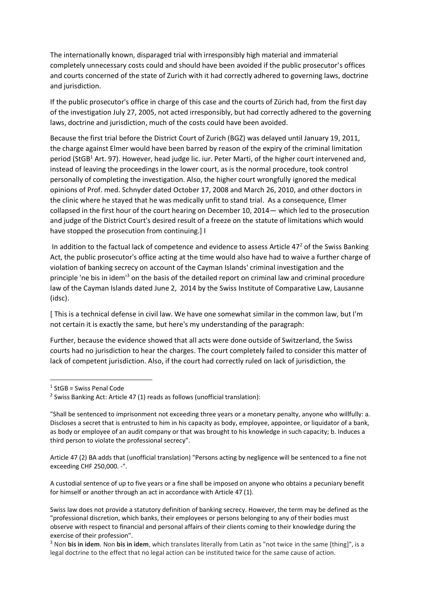The internationally known, disparaged trial with irresponsibly high material and immaterial completely unnecessary costs could and should have been avoided if the public prosecutor's offices and courts concerned of the state of Zurich with it had correctly adhered to governing laws, doctrine and jurisdiction.

If the public prosecutor's office in charge of this case and the courts of Zürich had, from the first day of the investigation July 27, 2005, not acted irresponsibly, but had correctly adhered to the governing laws, doctrine and jurisdiction, much of the costs could have been avoided.

Because the first trial before the District Court of Zurich (BGZ) was delayed until January 19, 2011, the charge against Elmer would have been barred by reason of the expiry of the criminal limitation period (StGB<sup>1</sup> Art. 97). However, head judge lic. iur. Peter Marti, of the higher court intervened and, instead of leaving the proceedings in the lower court, as is the normal procedure, took control personally of completing the investigation. Also, the higher court wrongfully ignored the medical opinions of Prof. med. Schnyder dated October 17, 2008 and March 26, 2010, and other doctors in the clinic where he stayed that he was medically unfit to stand trial. As a consequence, Elmer collapsed in the first hour of the court hearing on December 10, 2014— which led to the prosecution and judge of the District Court's desired result of a freeze on the statute of limitations which would have stopped the prosecution from continuing.] I

In addition to the factual lack of competence and evidence to assess Article  $47<sup>2</sup>$  of the Swiss Banking Act, the public prosecutor's office acting at the time would also have had to waive a further charge of violation of banking secrecy on account of the Cayman Islands' criminal investigation and the principle 'ne bis in idem<sup>13</sup> on the basis of the detailed report on criminal law and criminal procedure law of the Cayman Islands dated June 2, 2014 by the Swiss Institute of Comparative Law, Lausanne (idsc).

[ This is a technical defense in civil law. We have one somewhat similar in the common law, but I'm not certain it is exactly the same, but here's my understanding of the paragraph:

Further, because the evidence showed that all acts were done outside of Switzerland, the Swiss courts had no jurisdiction to hear the charges. The court completely failed to consider this matter of lack of competent jurisdiction. Also, if the court had correctly ruled on lack of jurisdiction, the

1

Article 47 (2) BA adds that (unofficial translation) "Persons acting by negligence will be sentenced to a fine not exceeding CHF 250,000. -".

A custodial sentence of up to five years or a fine shall be imposed on anyone who obtains a pecuniary benefit for himself or another through an act in accordance with Article 47 (1).

<sup>&</sup>lt;sup>1</sup> StGB = Swiss Penal Code

 $2$  Swiss Banking Act: Article 47 (1) reads as follows (unofficial translation):

<sup>&</sup>quot;Shall be sentenced to imprisonment not exceeding three years or a monetary penalty, anyone who willfully: a. Discloses a secret that is entrusted to him in his capacity as body, employee, appointee, or liquidator of a bank, as body or employee of an audit company or that was brought to his knowledge in such capacity; b. Induces a third person to violate the professional secrecy".

Swiss law does not provide a statutory definition of banking secrecy. However, the term may be defined as the "professional discretion, which banks, their employees or persons belonging to any of their bodies must observe with respect to financial and personal affairs of their clients coming to their knowledge during the exercise of their profession".

<sup>3</sup> Non **bis in idem**. Non **bis in idem**, which translates literally from Latin as "not twice in the same [thing]", is a legal doctrine to the effect that no legal action can be instituted twice for the same cause of action.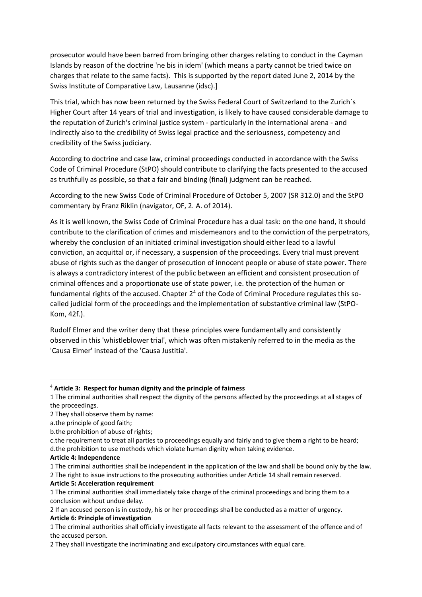prosecutor would have been barred from bringing other charges relating to conduct in the Cayman Islands by reason of the doctrine 'ne bis in idem' (which means a party cannot be tried twice on charges that relate to the same facts). This is supported by the report dated June 2, 2014 by the Swiss Institute of Comparative Law, Lausanne (idsc).]

This trial, which has now been returned by the Swiss Federal Court of Switzerland to the Zurich`s Higher Court after 14 years of trial and investigation, is likely to have caused considerable damage to the reputation of Zurich's criminal justice system - particularly in the international arena - and indirectly also to the credibility of Swiss legal practice and the seriousness, competency and credibility of the Swiss judiciary.

According to doctrine and case law, criminal proceedings conducted in accordance with the Swiss Code of Criminal Procedure (StPO) should contribute to clarifying the facts presented to the accused as truthfully as possible, so that a fair and binding (final) judgment can be reached.

According to the new Swiss Code of Criminal Procedure of October 5, 2007 (SR 312.0) and the StPO commentary by Franz Riklin (navigator, OF, 2. A. of 2014).

As it is well known, the Swiss Code of Criminal Procedure has a dual task: on the one hand, it should contribute to the clarification of crimes and misdemeanors and to the conviction of the perpetrators, whereby the conclusion of an initiated criminal investigation should either lead to a lawful conviction, an acquittal or, if necessary, a suspension of the proceedings. Every trial must prevent abuse of rights such as the danger of prosecution of innocent people or abuse of state power. There is always a contradictory interest of the public between an efficient and consistent prosecution of criminal offences and a proportionate use of state power, i.e. the protection of the human or fundamental rights of the accused. Chapter  $2<sup>4</sup>$  of the Code of Criminal Procedure regulates this socalled judicial form of the proceedings and the implementation of substantive criminal law (StPO-Kom, 42f.).

Rudolf Elmer and the writer deny that these principles were fundamentally and consistently observed in this 'whistleblower trial', which was often mistakenly referred to in the media as the 'Causa Elmer' instead of the 'Causa Justitia'.

1

<sup>4</sup> **Article 3: Respect for human dignity and the principle of fairness**

<sup>1</sup> The criminal authorities shall respect the dignity of the persons affected by the proceedings at all stages of the proceedings.

<sup>2</sup> They shall observe them by name:

a.the principle of good faith;

b.the prohibition of abuse of rights;

c.the requirement to treat all parties to proceedings equally and fairly and to give them a right to be heard; d.the prohibition to use methods which violate human dignity when taking evidence.

**Article 4: Independence**

<sup>1</sup> The criminal authorities shall be independent in the application of the law and shall be bound only by the law. 2 The right to issue instructions to the prosecuting authorities under Article 14 shall remain reserved.

**Article 5: Acceleration requirement**

<sup>1</sup> The criminal authorities shall immediately take charge of the criminal proceedings and bring them to a conclusion without undue delay.

<sup>2</sup> If an accused person is in custody, his or her proceedings shall be conducted as a matter of urgency. **Article 6: Principle of investigation**

<sup>1</sup> The criminal authorities shall officially investigate all facts relevant to the assessment of the offence and of the accused person.

<sup>2</sup> They shall investigate the incriminating and exculpatory circumstances with equal care.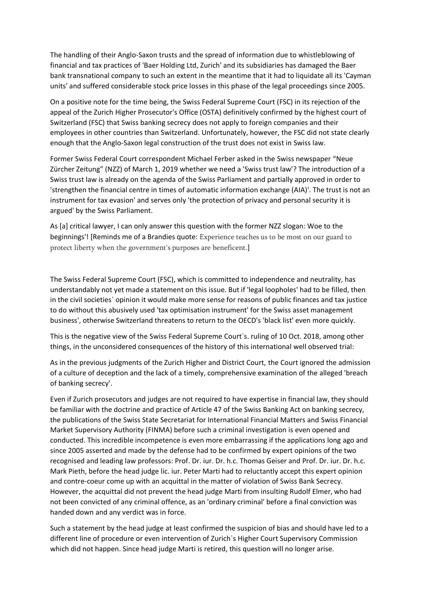The handling of their Anglo-Saxon trusts and the spread of information due to whistleblowing of financial and tax practices of 'Baer Holding Ltd, Zurich' and its subsidiaries has damaged the Baer bank transnational company to such an extent in the meantime that it had to liquidate all its 'Cayman units' and suffered considerable stock price losses in this phase of the legal proceedings since 2005.

On a positive note for the time being, the Swiss Federal Supreme Court (FSC) in its rejection of the appeal of the Zurich Higher Prosecutor's Office (OSTA) definitively confirmed by the highest court of Switzerland (FSC) that Swiss banking secrecy does not apply to foreign companies and their employees in other countries than Switzerland. Unfortunately, however, the FSC did not state clearly enough that the Anglo-Saxon legal construction of the trust does not exist in Swiss law.

Former Swiss Federal Court correspondent Michael Ferber asked in the Swiss newspaper "Neue Zürcher Zeitung" (NZZ) of March 1, 2019 whether we need a 'Swiss trust law'? The introduction of a Swiss trust law is already on the agenda of the Swiss Parliament and partially approved in order to 'strengthen the financial centre in times of automatic information exchange (AIA)'. The trust is not an instrument for tax evasion' and serves only 'the protection of privacy and personal security it is argued' by the Swiss Parliament.

As [a] critical lawyer, I can only answer this question with the former NZZ slogan: Woe to the beginnings'! [Reminds me of a Brandies quote: Experience teaches us to be most on our guard to protect liberty when the government's purposes are beneficent.]

The Swiss Federal Supreme Court (FSC), which is committed to independence and neutrality, has understandably not yet made a statement on this issue. But if 'legal loopholes' had to be filled, then in the civil societies` opinion it would make more sense for reasons of public finances and tax justice to do without this abusively used 'tax optimisation instrument' for the Swiss asset management business', otherwise Switzerland threatens to return to the OECD's 'black list' even more quickly.

This is the negative view of the Swiss Federal Supreme Court`s. ruling of 10 Oct. 2018, among other things, in the unconsidered consequences of the history of this international well observed trial:

As in the previous judgments of the Zurich Higher and District Court, the Court ignored the admission of a culture of deception and the lack of a timely, comprehensive examination of the alleged 'breach of banking secrecy'.

Even if Zurich prosecutors and judges are not required to have expertise in financial law, they should be familiar with the doctrine and practice of Article 47 of the Swiss Banking Act on banking secrecy, the publications of the Swiss State Secretariat for International Financial Matters and Swiss Financial Market Supervisory Authority (FINMA) before such a criminal investigation is even opened and conducted. This incredible incompetence is even more embarrassing if the applications long ago and since 2005 asserted and made by the defense had to be confirmed by expert opinions of the two recognised and leading law professors: Prof. Dr. iur. Dr. h.c. Thomas Geiser and Prof. Dr. iur. Dr. h.c. Mark Pieth, before the head judge lic. iur. Peter Marti had to reluctantly accept this expert opinion and contre-coeur come up with an acquittal in the matter of violation of Swiss Bank Secrecy. However, the acquittal did not prevent the head judge Marti from insulting Rudolf Elmer, who had not been convicted of any criminal offence, as an 'ordinary criminal' before a final conviction was handed down and any verdict was in force.

Such a statement by the head judge at least confirmed the suspicion of bias and should have led to a different line of procedure or even intervention of Zurich`s Higher Court Supervisory Commission which did not happen. Since head judge Marti is retired, this question will no longer arise.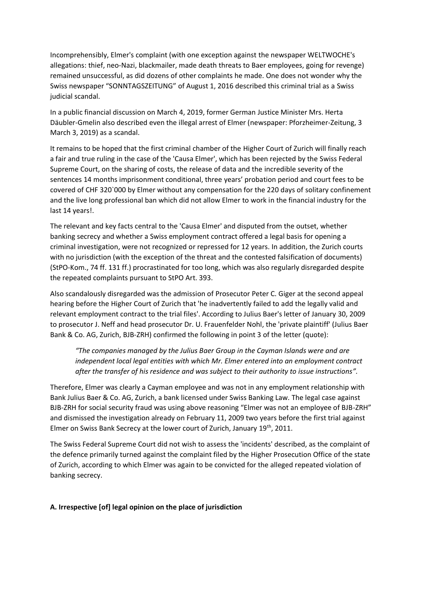Incomprehensibly, Elmer's complaint (with one exception against the newspaper WELTWOCHE's allegations: thief, neo-Nazi, blackmailer, made death threats to Baer employees, going for revenge) remained unsuccessful, as did dozens of other complaints he made. One does not wonder why the Swiss newspaper "SONNTAGSZEITUNG" of August 1, 2016 described this criminal trial as a Swiss judicial scandal.

In a public financial discussion on March 4, 2019, former German Justice Minister Mrs. Herta Däubler-Gmelin also described even the illegal arrest of Elmer (newspaper: Pforzheimer-Zeitung, 3 March 3, 2019) as a scandal.

It remains to be hoped that the first criminal chamber of the Higher Court of Zurich will finally reach a fair and true ruling in the case of the 'Causa Elmer', which has been rejected by the Swiss Federal Supreme Court, on the sharing of costs, the release of data and the incredible severity of the sentences 14 months imprisonment conditional, three years' probation period and court fees to be covered of CHF 320`000 by Elmer without any compensation for the 220 days of solitary confinement and the live long professional ban which did not allow Elmer to work in the financial industry for the last 14 years!.

The relevant and key facts central to the 'Causa Elmer' and disputed from the outset, whether banking secrecy and whether a Swiss employment contract offered a legal basis for opening a criminal investigation, were not recognized or repressed for 12 years. In addition, the Zurich courts with no jurisdiction (with the exception of the threat and the contested falsification of documents) (StPO-Kom., 74 ff. 131 ff.) procrastinated for too long, which was also regularly disregarded despite the repeated complaints pursuant to StPO Art. 393.

Also scandalously disregarded was the admission of Prosecutor Peter C. Giger at the second appeal hearing before the Higher Court of Zurich that 'he inadvertently failed to add the legally valid and relevant employment contract to the trial files'. According to Julius Baer's letter of January 30, 2009 to prosecutor J. Neff and head prosecutor Dr. U. Frauenfelder Nohl, the 'private plaintiff' (Julius Baer Bank & Co. AG, Zurich, BJB-ZRH) confirmed the following in point 3 of the letter (quote):

*"The companies managed by the Julius Baer Group in the Cayman Islands were and are independent local legal entities with which Mr. Elmer entered into an employment contract after the transfer of his residence and was subject to their authority to issue instructions".*

Therefore, Elmer was clearly a Cayman employee and was not in any employment relationship with Bank Julius Baer & Co. AG, Zurich, a bank licensed under Swiss Banking Law. The legal case against BJB-ZRH for social security fraud was using above reasoning "Elmer was not an employee of BJB-ZRH" and dismissed the investigation already on February 11, 2009 two years before the first trial against Elmer on Swiss Bank Secrecy at the lower court of Zurich, January 19<sup>th</sup>, 2011.

The Swiss Federal Supreme Court did not wish to assess the 'incidents' described, as the complaint of the defence primarily turned against the complaint filed by the Higher Prosecution Office of the state of Zurich, according to which Elmer was again to be convicted for the alleged repeated violation of banking secrecy.

# **A. Irrespective [of] legal opinion on the place of jurisdiction**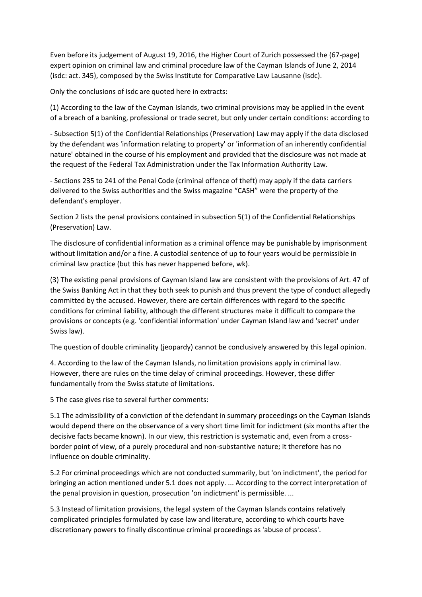Even before its judgement of August 19, 2016, the Higher Court of Zurich possessed the (67-page) expert opinion on criminal law and criminal procedure law of the Cayman Islands of June 2, 2014 (isdc: act. 345), composed by the Swiss Institute for Comparative Law Lausanne (isdc).

Only the conclusions of isdc are quoted here in extracts:

(1) According to the law of the Cayman Islands, two criminal provisions may be applied in the event of a breach of a banking, professional or trade secret, but only under certain conditions: according to

- Subsection 5(1) of the Confidential Relationships (Preservation) Law may apply if the data disclosed by the defendant was 'information relating to property' or 'information of an inherently confidential nature' obtained in the course of his employment and provided that the disclosure was not made at the request of the Federal Tax Administration under the Tax Information Authority Law.

- Sections 235 to 241 of the Penal Code (criminal offence of theft) may apply if the data carriers delivered to the Swiss authorities and the Swiss magazine "CASH" were the property of the defendant's employer.

Section 2 lists the penal provisions contained in subsection 5(1) of the Confidential Relationships (Preservation) Law.

The disclosure of confidential information as a criminal offence may be punishable by imprisonment without limitation and/or a fine. A custodial sentence of up to four years would be permissible in criminal law practice (but this has never happened before, wk).

(3) The existing penal provisions of Cayman Island law are consistent with the provisions of Art. 47 of the Swiss Banking Act in that they both seek to punish and thus prevent the type of conduct allegedly committed by the accused. However, there are certain differences with regard to the specific conditions for criminal liability, although the different structures make it difficult to compare the provisions or concepts (e.g. 'confidential information' under Cayman Island law and 'secret' under Swiss law).

The question of double criminality (jeopardy) cannot be conclusively answered by this legal opinion.

4. According to the law of the Cayman Islands, no limitation provisions apply in criminal law. However, there are rules on the time delay of criminal proceedings. However, these differ fundamentally from the Swiss statute of limitations.

5 The case gives rise to several further comments:

5.1 The admissibility of a conviction of the defendant in summary proceedings on the Cayman Islands would depend there on the observance of a very short time limit for indictment (six months after the decisive facts became known). In our view, this restriction is systematic and, even from a crossborder point of view, of a purely procedural and non-substantive nature; it therefore has no influence on double criminality.

5.2 For criminal proceedings which are not conducted summarily, but 'on indictment', the period for bringing an action mentioned under 5.1 does not apply. ... According to the correct interpretation of the penal provision in question, prosecution 'on indictment' is permissible. ...

5.3 Instead of limitation provisions, the legal system of the Cayman Islands contains relatively complicated principles formulated by case law and literature, according to which courts have discretionary powers to finally discontinue criminal proceedings as 'abuse of process'.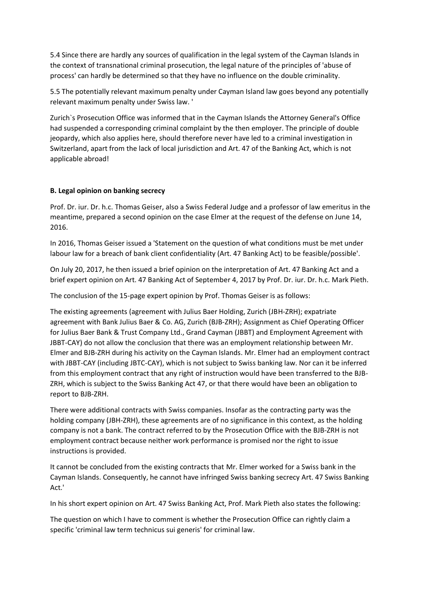5.4 Since there are hardly any sources of qualification in the legal system of the Cayman Islands in the context of transnational criminal prosecution, the legal nature of the principles of 'abuse of process' can hardly be determined so that they have no influence on the double criminality.

5.5 The potentially relevant maximum penalty under Cayman Island law goes beyond any potentially relevant maximum penalty under Swiss law. '

Zurich`s Prosecution Office was informed that in the Cayman Islands the Attorney General's Office had suspended a corresponding criminal complaint by the then employer. The principle of double jeopardy, which also applies here, should therefore never have led to a criminal investigation in Switzerland, apart from the lack of local jurisdiction and Art. 47 of the Banking Act, which is not applicable abroad!

### **B. Legal opinion on banking secrecy**

Prof. Dr. iur. Dr. h.c. Thomas Geiser, also a Swiss Federal Judge and a professor of law emeritus in the meantime, prepared a second opinion on the case Elmer at the request of the defense on June 14, 2016.

In 2016, Thomas Geiser issued a 'Statement on the question of what conditions must be met under labour law for a breach of bank client confidentiality (Art. 47 Banking Act) to be feasible/possible'.

On July 20, 2017, he then issued a brief opinion on the interpretation of Art. 47 Banking Act and a brief expert opinion on Art. 47 Banking Act of September 4, 2017 by Prof. Dr. iur. Dr. h.c. Mark Pieth.

The conclusion of the 15-page expert opinion by Prof. Thomas Geiser is as follows:

The existing agreements (agreement with Julius Baer Holding, Zurich (JBH-ZRH); expatriate agreement with Bank Julius Baer & Co. AG, Zurich (BJB-ZRH); Assignment as Chief Operating Officer for Julius Baer Bank & Trust Company Ltd., Grand Cayman (JBBT) and Employment Agreement with JBBT-CAY) do not allow the conclusion that there was an employment relationship between Mr. Elmer and BJB-ZRH during his activity on the Cayman Islands. Mr. Elmer had an employment contract with JBBT-CAY (including JBTC-CAY), which is not subject to Swiss banking law. Nor can it be inferred from this employment contract that any right of instruction would have been transferred to the BJB-ZRH, which is subject to the Swiss Banking Act 47, or that there would have been an obligation to report to BJB-ZRH.

There were additional contracts with Swiss companies. Insofar as the contracting party was the holding company (JBH-ZRH), these agreements are of no significance in this context, as the holding company is not a bank. The contract referred to by the Prosecution Office with the BJB-ZRH is not employment contract because neither work performance is promised nor the right to issue instructions is provided.

It cannot be concluded from the existing contracts that Mr. Elmer worked for a Swiss bank in the Cayman Islands. Consequently, he cannot have infringed Swiss banking secrecy Art. 47 Swiss Banking Act.'

In his short expert opinion on Art. 47 Swiss Banking Act, Prof. Mark Pieth also states the following:

The question on which I have to comment is whether the Prosecution Office can rightly claim a specific 'criminal law term technicus sui generis' for criminal law.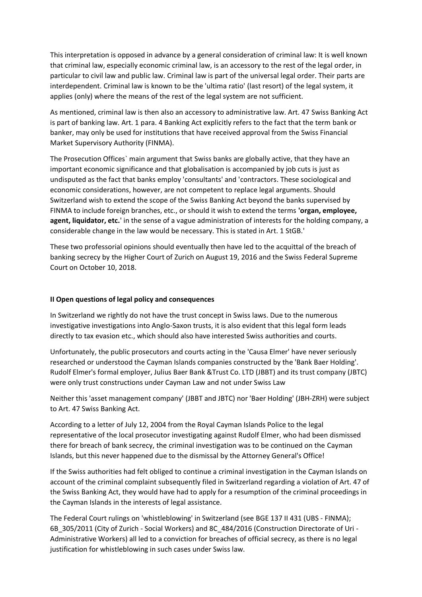This interpretation is opposed in advance by a general consideration of criminal law: It is well known that criminal law, especially economic criminal law, is an accessory to the rest of the legal order, in particular to civil law and public law. Criminal law is part of the universal legal order. Their parts are interdependent. Criminal law is known to be the 'ultima ratio' (last resort) of the legal system, it applies (only) where the means of the rest of the legal system are not sufficient.

As mentioned, criminal law is then also an accessory to administrative law. Art. 47 Swiss Banking Act is part of banking law. Art. 1 para. 4 Banking Act explicitly refers to the fact that the term bank or banker, may only be used for institutions that have received approval from the Swiss Financial Market Supervisory Authority (FINMA).

The Prosecution Offices` main argument that Swiss banks are globally active, that they have an important economic significance and that globalisation is accompanied by job cuts is just as undisputed as the fact that banks employ 'consultants' and 'contractors. These sociological and economic considerations, however, are not competent to replace legal arguments. Should Switzerland wish to extend the scope of the Swiss Banking Act beyond the banks supervised by FINMA to include foreign branches, etc., or should it wish to extend the terms **'organ, employee, agent, liquidator, etc.**' in the sense of a vague administration of interests for the holding company, a considerable change in the law would be necessary. This is stated in Art. 1 StGB.'

These two professorial opinions should eventually then have led to the acquittal of the breach of banking secrecy by the Higher Court of Zurich on August 19, 2016 and the Swiss Federal Supreme Court on October 10, 2018.

#### **II Open questions of legal policy and consequences**

In Switzerland we rightly do not have the trust concept in Swiss laws. Due to the numerous investigative investigations into Anglo-Saxon trusts, it is also evident that this legal form leads directly to tax evasion etc., which should also have interested Swiss authorities and courts.

Unfortunately, the public prosecutors and courts acting in the 'Causa Elmer' have never seriously researched or understood the Cayman Islands companies constructed by the 'Bank Baer Holding'. Rudolf Elmer's formal employer, Julius Baer Bank &Trust Co. LTD (JBBT) and its trust company (JBTC) were only trust constructions under Cayman Law and not under Swiss Law

Neither this 'asset management company' (JBBT and JBTC) nor 'Baer Holding' (JBH-ZRH) were subject to Art. 47 Swiss Banking Act.

According to a letter of July 12, 2004 from the Royal Cayman Islands Police to the legal representative of the local prosecutor investigating against Rudolf Elmer, who had been dismissed there for breach of bank secrecy, the criminal investigation was to be continued on the Cayman Islands, but this never happened due to the dismissal by the Attorney General's Office!

If the Swiss authorities had felt obliged to continue a criminal investigation in the Cayman Islands on account of the criminal complaint subsequently filed in Switzerland regarding a violation of Art. 47 of the Swiss Banking Act, they would have had to apply for a resumption of the criminal proceedings in the Cayman Islands in the interests of legal assistance.

The Federal Court rulings on 'whistleblowing' in Switzerland (see BGE 137 II 431 (UBS - FINMA); 6B\_305/2011 (City of Zurich - Social Workers) and 8C\_484/2016 (Construction Directorate of Uri - Administrative Workers) all led to a conviction for breaches of official secrecy, as there is no legal justification for whistleblowing in such cases under Swiss law.